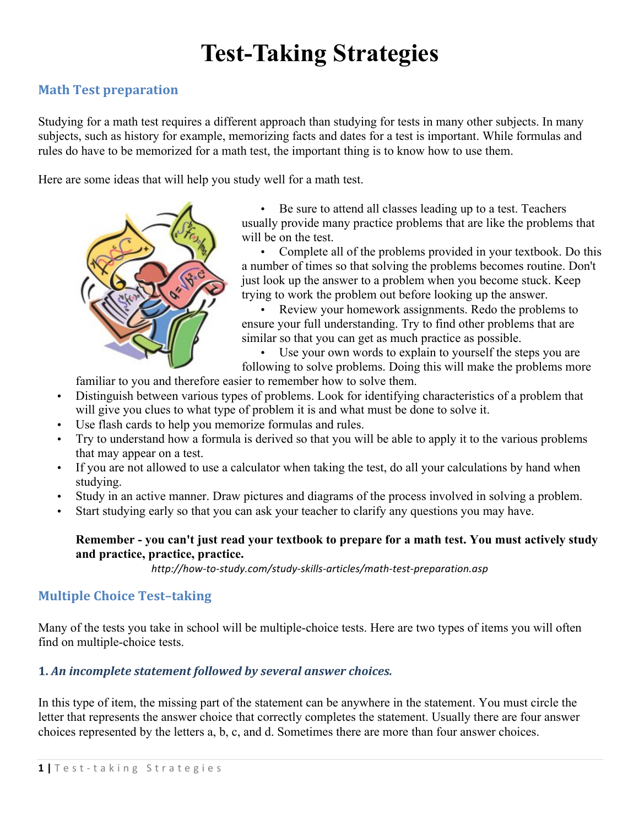# **Test-Taking Strategies**

## **Math Test preparation**

Studying for a math test requires a different approach than studying for tests in many other subjects. In many subjects, such as history for example, memorizing facts and dates for a test is important. While formulas and rules do have to be memorized for a math test, the important thing is to know how to use them.

Here are some ideas that will help you study well for a math test.



• Be sure to attend all classes leading up to a test. Teachers usually provide many practice problems that are like the problems that will be on the test.

• Complete all of the problems provided in your textbook. Do this a number of times so that solving the problems becomes routine. Don't just look up the answer to a problem when you become stuck. Keep trying to work the problem out before looking up the answer.

• Review your homework assignments. Redo the problems to ensure your full understanding. Try to find other problems that are similar so that you can get as much practice as possible.

Use your own words to explain to yourself the steps you are

following to solve problems. Doing this will make the problems more

familiar to you and therefore easier to remember how to solve them.

- Distinguish between various types of problems. Look for identifying characteristics of a problem that will give you clues to what type of problem it is and what must be done to solve it.
- Use flash cards to help you memorize formulas and rules.
- Try to understand how a formula is derived so that you will be able to apply it to the various problems that may appear on a test.
- If you are not allowed to use a calculator when taking the test, do all your calculations by hand when studying.
- Study in an active manner. Draw pictures and diagrams of the process involved in solving a problem.
- Start studying early so that you can ask your teacher to clarify any questions you may have.

## **Remember - you can't just read your textbook to prepare for a math test. You must actively study and practice, practice, practice.**

*http://how-to-study.com/study-skills-articles/math-test-preparation.asp*

# **Multiple Choice Test-taking**

Many of the tests you take in school will be multiple-choice tests. Here are two types of items you will often find on multiple-choice tests.

## 1. An incomplete statement followed by several answer choices.

In this type of item, the missing part of the statement can be anywhere in the statement. You must circle the letter that represents the answer choice that correctly completes the statement. Usually there are four answer choices represented by the letters a, b, c, and d. Sometimes there are more than four answer choices.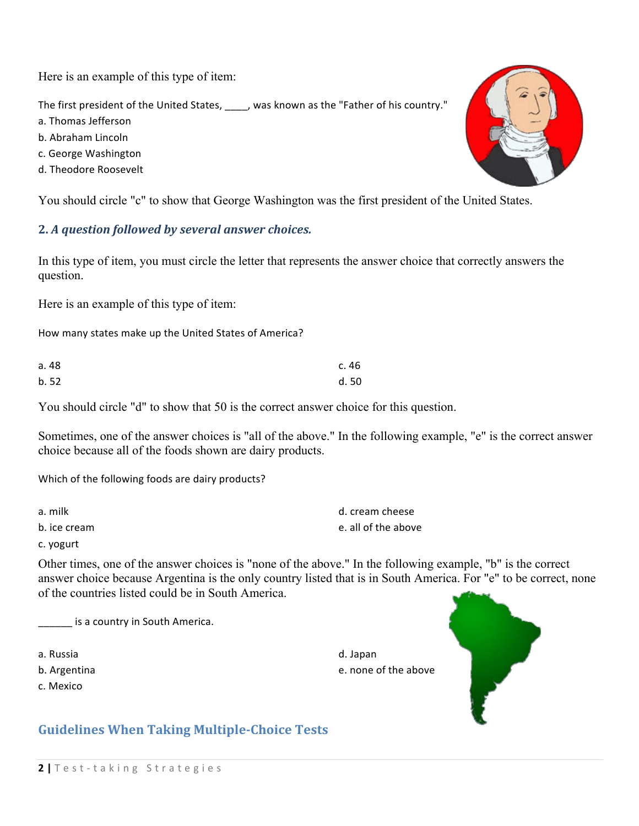Here is an example of this type of item:

The first president of the United States, \_\_\_\_, was known as the "Father of his country."

- a. Thomas Jefferson
- b. Abraham Lincoln
- c. George Washington
- d. Theodore Roosevelt

You should circle "c" to show that George Washington was the first president of the United States.

## **2.** *A question followed by several answer choices.*

In this type of item, you must circle the letter that represents the answer choice that correctly answers the question.

Here is an example of this type of item:

How many states make up the United States of America?

| a. 48 | c. 46 |
|-------|-------|
| b.52  | d.50  |

You should circle "d" to show that 50 is the correct answer choice for this question.

Sometimes, one of the answer choices is "all of the above." In the following example, "e" is the correct answer choice because all of the foods shown are dairy products.

Which of the following foods are dairy products?

| a. milk      | d. cream cheese     |
|--------------|---------------------|
| b. ice cream | e. all of the above |

c. yogurt

Other times, one of the answer choices is "none of the above." In the following example, "b" is the correct answer choice because Argentina is the only country listed that is in South America. For "e" to be correct, none of the countries listed could be in South America.

d. Japan

**\_\_\_\_** is a country in South America.

a. Russia

b. Argentina

c. Mexico



# **Guidelines When Taking Multiple-Choice Tests**



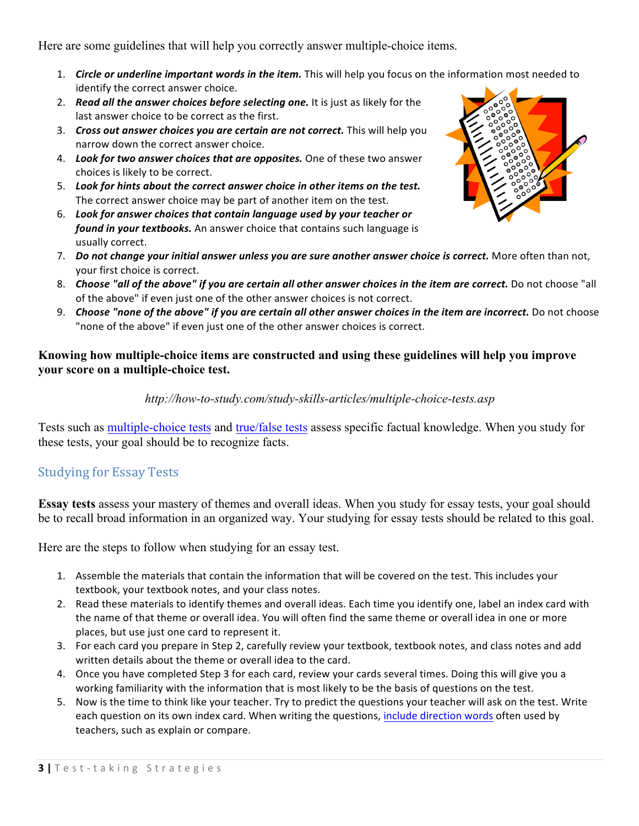Here are some guidelines that will help you correctly answer multiple-choice items.

- 1. *Circle or underline important words in the item.* This will help you focus on the information most needed to identify the correct answer choice.
- 2. **Read all the answer choices before selecting one.** It is just as likely for the last answer choice to be correct as the first.
- 3. *Cross out answer choices you are certain are not correct.* This will help you narrow down the correct answer choice.
- 4. Look for two answer choices that are opposites. One of these two answer choices is likely to be correct.
- 5. Look for hints about the correct answer choice in other items on the test. The correct answer choice may be part of another item on the test.
- 6. Look for answer choices that contain language used by your teacher or *found in your textbooks.* An answer choice that contains such language is usually correct.
- 7. *Do not change your initial answer unless you are sure another answer choice is correct.* More often than not, your first choice is correct.
- 8. Choose "all of the above" if you are certain all other answer choices in the item are correct. Do not choose "all of the above" if even just one of the other answer choices is not correct.
- 9. Choose "none of the above" if you are certain all other answer choices in the item are incorrect. Do not choose "none of the above" if even just one of the other answer choices is correct.

## **Knowing how multiple-choice items are constructed and using these guidelines will help you improve your score on a multiple-choice test.**

## *http://how-to-study.com/study-skills-articles/multiple-choice-tests.asp*

Tests such as multiple-choice tests and true/false tests assess specific factual knowledge. When you study for these tests, your goal should be to recognize facts.

## **Studying for Essay Tests**

**Essay tests** assess your mastery of themes and overall ideas. When you study for essay tests, your goal should be to recall broad information in an organized way. Your studying for essay tests should be related to this goal.

Here are the steps to follow when studying for an essay test.

- 1. Assemble the materials that contain the information that will be covered on the test. This includes your textbook, your textbook notes, and your class notes.
- 2. Read these materials to identify themes and overall ideas. Each time you identify one, label an index card with the name of that theme or overall idea. You will often find the same theme or overall idea in one or more places, but use just one card to represent it.
- 3. For each card you prepare in Step 2, carefully review your textbook, textbook notes, and class notes and add written details about the theme or overall idea to the card.
- 4. Once you have completed Step 3 for each card, review your cards several times. Doing this will give you a working familiarity with the information that is most likely to be the basis of questions on the test.
- 5. Now is the time to think like your teacher. Try to predict the questions your teacher will ask on the test. Write each question on its own index card. When writing the questions, include direction words often used by teachers, such as explain or compare.